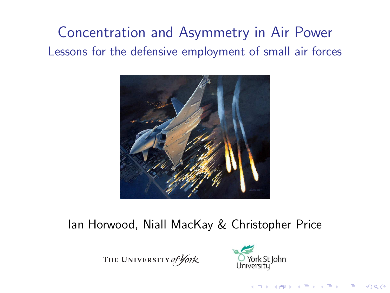# Concentration and Asymmetry in Air Power Lessons for the defensive employment of small air forces



#### Ian Horwood, Niall MacKay & Christopher Price

THE UNIVERSITY of York



**KORK EXTERNE PROVIDE**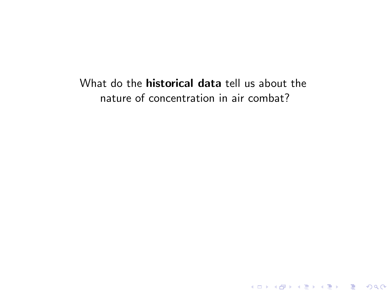#### What do the **historical data** tell us about the nature of concentration in air combat?

KO K K Ø K K I K I I LA K I I K K K K I LA K I I LA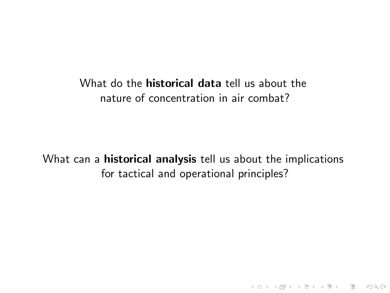#### What do the **historical data** tell us about the nature of concentration in air combat?

What can a **historical analysis** tell us about the implications for tactical and operational principles?

K ロ ▶ K @ ▶ K 할 ▶ K 할 ▶ 이 할 → 9 Q Q →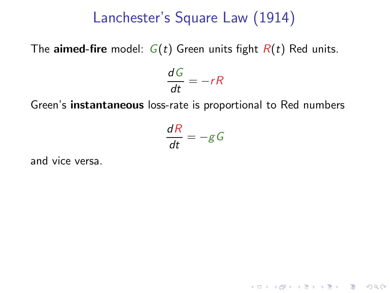The **aimed-fire** model:  $G(t)$  Green units fight  $R(t)$  Red units.

$$
\frac{dG}{dt} = -rR
$$

Green's instantaneous loss-rate is proportional to Red numbers

 $\frac{dR}{dt} = -gG$ 

**K ロ ▶ K @ ▶ K 할 X K 할 X - 할 X - 9 Q Q ^** 

and vice versa.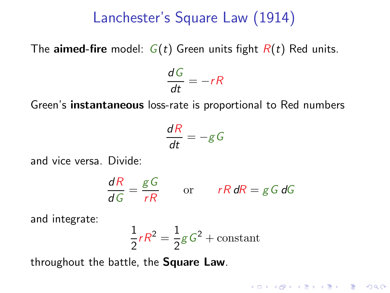The aimed-fire model:  $G(t)$  Green units fight  $R(t)$  Red units.

$$
\frac{dG}{dt} = -rR
$$

Green's instantaneous loss-rate is proportional to Red numbers

$$
\frac{dR}{dt} = -gG
$$

and vice versa. Divide:

$$
\frac{dR}{dG} = \frac{gG}{rR} \qquad \text{or} \qquad rR \, dR = gG \, dG
$$

and integrate:

$$
\frac{1}{2}rR^2 = \frac{1}{2}gG^2 + \text{constant}
$$

throughout the battle, the Square Law.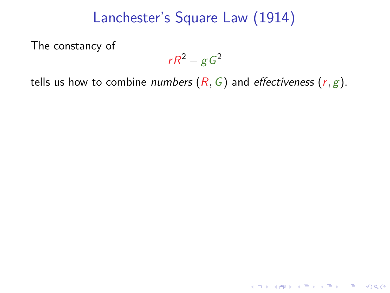The constancy of

$$
rR^2-gG^2
$$

K ロ ▶ K @ ▶ K 할 ▶ K 할 ▶ 이 할 → 9 Q Q →

tells us how to combine *numbers*  $(R, G)$  and *effectiveness*  $(r, g)$ .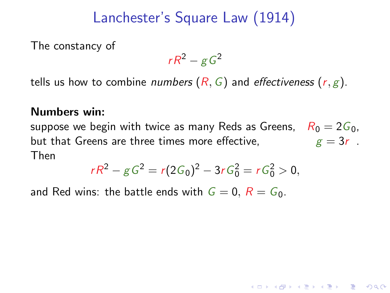The constancy of

 $rR^2 - gG^2$ 

tells us how to combine numbers  $(R, G)$  and effectiveness  $(r, g)$ .

#### Numbers win:

suppose we begin with twice as many Reds as Greens,  $R_0 = 2G_0$ , but that Greens are three times more effective,  $g = 3r$ . Then

$$
rR^2 - gG^2 = r(2G_0)^2 - 3rG_0^2 = rG_0^2 > 0,
$$

**ADD YEARS ARA YOUR** 

and Red wins: the battle ends with  $G = 0$ ,  $R = G<sub>0</sub>$ .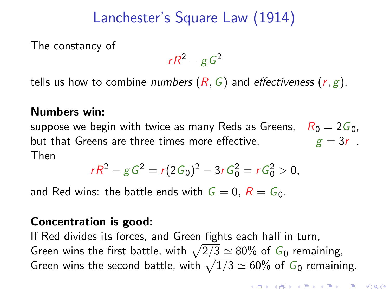The constancy of

 $rR^2 - gG^2$ 

tells us how to combine numbers  $(R, G)$  and effectiveness  $(r, g)$ .

#### Numbers win:

suppose we begin with twice as many Reds as Greens,  $R_0 = 2G_0$ , but that Greens are three times more effective,  $g = 3r$ . Then

$$
rR^2 - gG^2 = r(2G_0)^2 - 3rG_0^2 = rG_0^2 > 0,
$$

and Red wins: the battle ends with  $G = 0$ ,  $R = G_0$ .

#### Concentration is good:

If Red divides its forces, and Green fights each half in turn, Green wins the first battle, with  $\sqrt{2/3} \simeq 80\%$  of  $G_0$  remaining, Green wins the second battle, with  $\sqrt{1/3} \simeq 60\%$  of  $G_0$  remaining.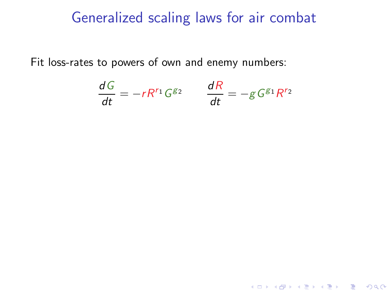### Generalized scaling laws for air combat

Fit loss-rates to powers of own and enemy numbers:

$$
\frac{dG}{dt} = -rR^{r_1}G^{g_2} \qquad \frac{dR}{dt} = -gG^{g_1}R^{r_2}
$$

K ロ ▶ K @ ▶ K 할 ▶ K 할 ▶ 이 할 → 9 Q Q →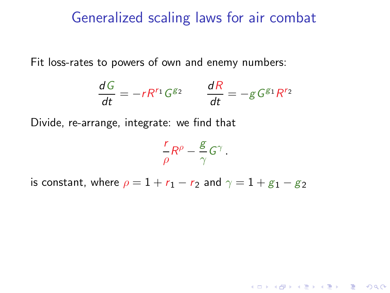#### Generalized scaling laws for air combat

Fit loss-rates to powers of own and enemy numbers:

$$
\frac{dG}{dt} = -rR^{r_1}G^{g_2} \qquad \frac{dR}{dt} = -gG^{g_1}R^{r_2}
$$

Divide, re-arrange, integrate: we find that

$$
\frac{r}{\rho}R^{\rho}-\frac{g}{\gamma}G^{\gamma}
$$

.

**K ロ ▶ K @ ▶ K 할 X K 할 X - 할 X - 9 Q Q ^** 

is constant, where  $\rho = 1 + r_1 - r_2$  and  $\gamma = 1 + g_1 - g_2$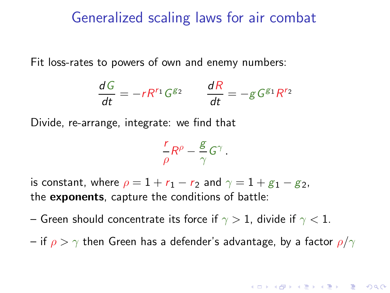#### Generalized scaling laws for air combat

Fit loss-rates to powers of own and enemy numbers:

$$
\frac{dG}{dt} = -rR^{r_1}G^{g_2} \qquad \frac{dR}{dt} = -gG^{g_1}R^{r_2}
$$

Divide, re-arrange, integrate: we find that

$$
\frac{r}{\rho}R^{\rho} - \frac{g}{\gamma}G^{\gamma}
$$

.

is constant, where  $\rho = 1 + r_1 - r_2$  and  $\gamma = 1 + g_1 - g_2$ , the exponents, capture the conditions of battle:

- Green should concentrate its force if  $\gamma > 1$ , divide if  $\gamma < 1$ .
- if  $\rho > \gamma$  then Green has a defender's advantage, by a factor  $\rho/\gamma$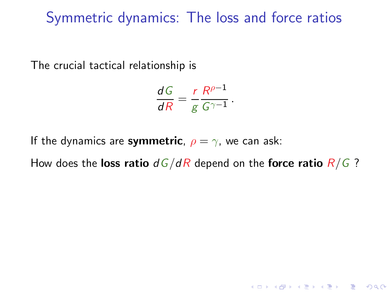The crucial tactical relationship is

$$
\frac{dG}{dR} = \frac{r}{g} \frac{R^{\rho - 1}}{G^{\gamma - 1}}.
$$

If the dynamics are symmetric,  $\rho = \gamma$ , we can ask:

How does the loss ratio  $dG/dR$  depend on the force ratio  $R/G$ ?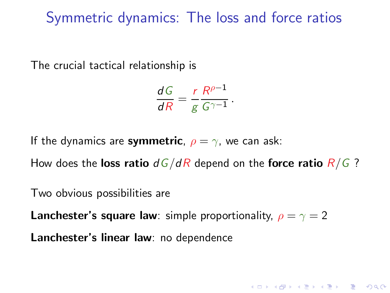The crucial tactical relationship is

$$
\frac{dG}{dR} = \frac{r}{g} \frac{R^{\rho - 1}}{G^{\gamma - 1}}.
$$

If the dynamics are symmetric,  $\rho = \gamma$ , we can ask:

How does the loss ratio  $dG/dR$  depend on the force ratio  $R/G$ ?

**K ロ ▶ K @ ▶ K 할 X K 할 X - 할 X - 9 Q Q ^** 

Two obvious possibilities are

**Lanchester's square law**: simple proportionality,  $\rho = \gamma = 2$ 

Lanchester's linear law: no dependence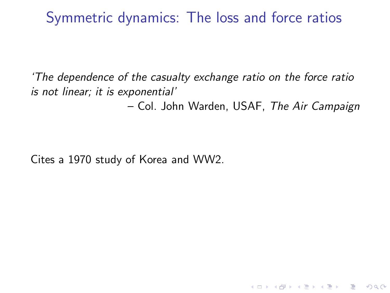'The dependence of the casualty exchange ratio on the force ratio is not linear; it is exponential'

– Col. John Warden, USAF, The Air Campaign

**KORK ERKER ADAM DE SORA** 

Cites a 1970 study of Korea and WW2.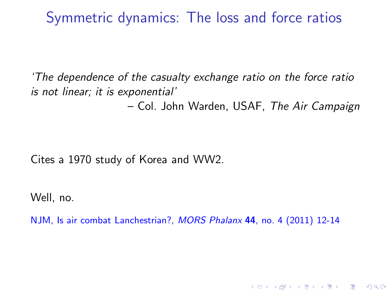'The dependence of the casualty exchange ratio on the force ratio is not linear; it is exponential'

– Col. John Warden, USAF, The Air Campaign

**ADD YEARS ARA YOUR** 

Cites a 1970 study of Korea and WW2.

Well, no.

NJM, Is air combat Lanchestrian?, MORS Phalanx 44, no. 4 (2011) 12-14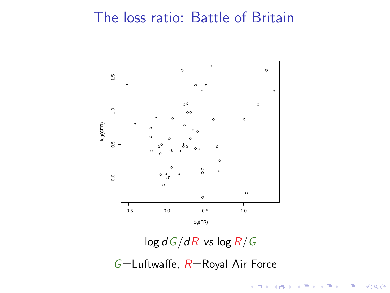## The loss ratio: Battle of Britain



 $\log dG/dR$  vs  $\log R/G$ 

 $G=$ Luftwaffe,  $R=$ Royal Air Force

メロト メ都 トメ 重 トメ 差 ト

 $299$ 

Ε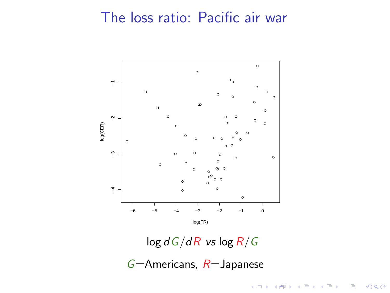## The loss ratio: Pacific air war



 $\log dG/dR$  vs  $\log R/G$ 

 $G=$ Americans,  $R=$ Japanese

メロト メ都 トメ 重 トメ 差 ト

 $290$ 

Ε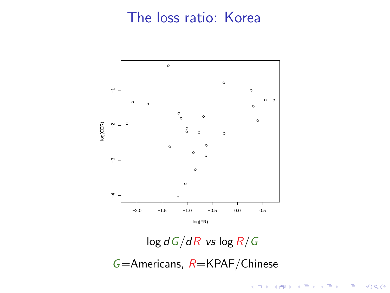## The loss ratio: Korea



 $\log dG/dR$  vs  $\log R/G$ 

イロメ イ部メ イ君メ イ君メ

 $299$ 

目

 $G=$ Americans,  $R=$ KPAF/Chinese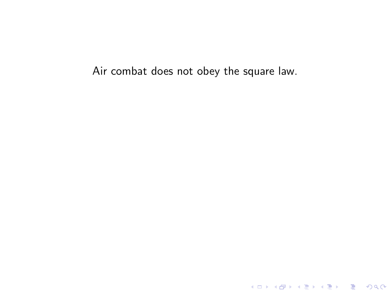Air combat does not obey the square law.

K ロ ▶ K @ ▶ K 할 ▶ K 할 ▶ 이 할 → 9 Q Q\*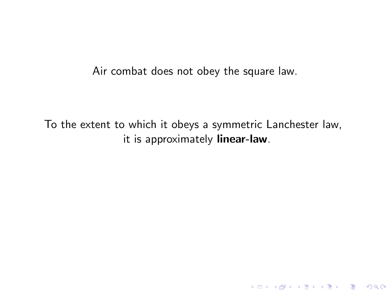Air combat does not obey the square law.

To the extent to which it obeys a symmetric Lanchester law, it is approximately linear-law.

K ロ ▶ K @ ▶ K 할 ▶ K 할 ▶ 이 할 → 9 Q Q →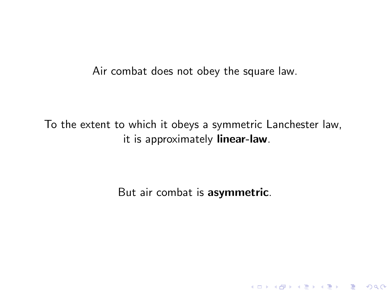Air combat does not obey the square law.

To the extent to which it obeys a symmetric Lanchester law, it is approximately linear-law.

But air combat is asymmetric.

K ロ K K (P) K (E) K (E) X (E) X (P) K (P)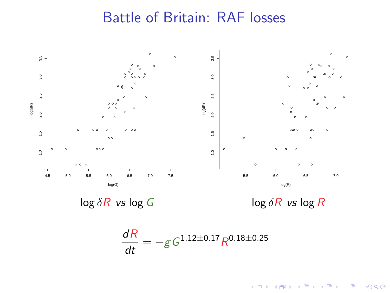## Battle of Britain: RAF losses



イロメ イ部メ イ君メ イ君メ 高山  $299$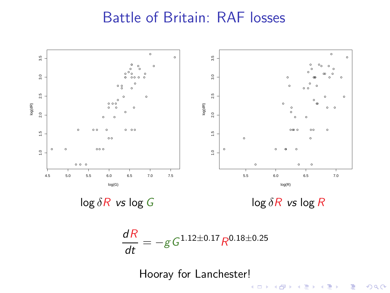## Battle of Britain: RAF losses

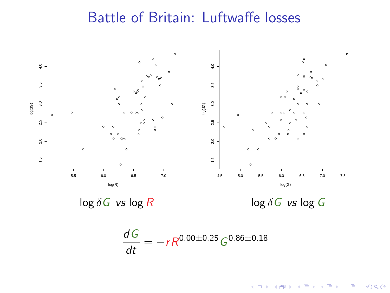## Battle of Britain: Luftwaffe losses



イロメ イ部メ イ君メ イ君メ 重  $299$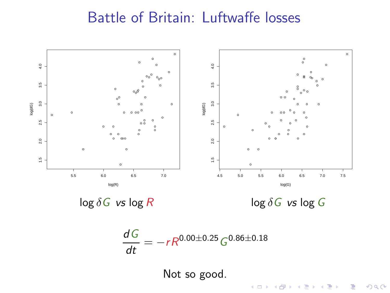## Battle of Britain: Luftwaffe losses

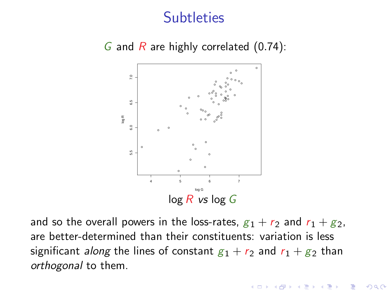



and so the overall powers in the loss-rates,  $g_1 + r_2$  and  $r_1 + g_2$ , are better-determined than their constituents: variation is less significant along the lines of constant  $g_1 + r_2$  and  $r_1 + g_2$  than orthogonal to them.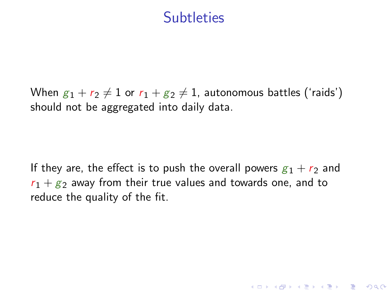When  $g_1 + r_2 \neq 1$  or  $r_1 + g_2 \neq 1$ , autonomous battles ('raids') should not be aggregated into daily data.

If they are, the effect is to push the overall powers  $g_1 + r_2$  and  $r_1 + g_2$  away from their true values and towards one, and to reduce the quality of the fit.

**ADD YEARS ARA YOUR**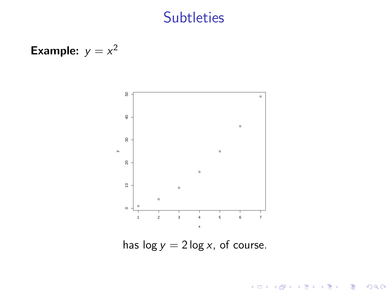**Example:** 
$$
y = x^2
$$



has  $\log y = 2 \log x$ , of course.

メロメ メ都 メメ きょ メモメ

 $\equiv$  990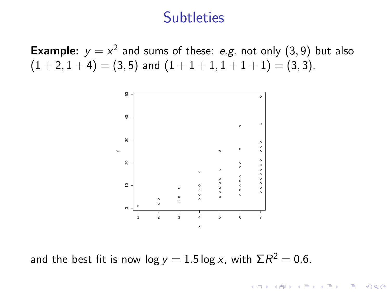**Example:**  $y = x^2$  and sums of these: e.g. not only  $(3, 9)$  but also  $(1 + 2, 1 + 4) = (3, 5)$  and  $(1 + 1 + 1, 1 + 1 + 1) = (3, 3)$ .



and the best fit is now  $log y = 1.5 log x$ , with  $\Sigma R^2 = 0.6$ .

 $2990$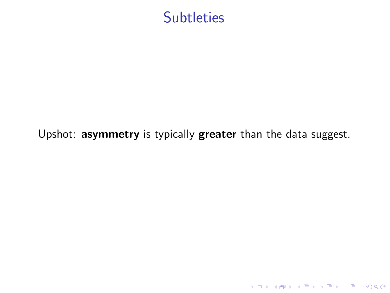

#### Upshot: asymmetry is typically greater than the data suggest.

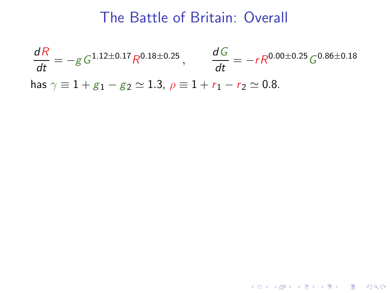## The Battle of Britain: Overall

$$
\frac{dR}{dt} = -g \, G^{1.12 \pm 0.17} R^{0.18 \pm 0.25}, \qquad \frac{dG}{dt} = -r R^{0.00 \pm 0.25} G^{0.86 \pm 0.18}
$$
\n
$$
\text{has } \gamma \equiv 1 + g_1 - g_2 \simeq 1.3, \ \rho \equiv 1 + r_1 - r_2 \simeq 0.8.
$$

K ロ X (日) X (日) X (日) X (日) X (日) X (日) X (日) X (日) X (日) X (日)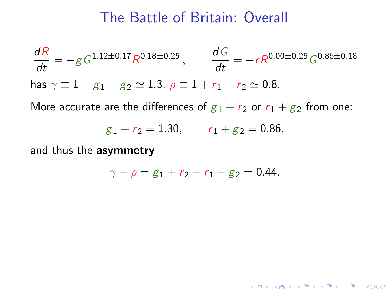#### The Battle of Britain: Overall

$$
\frac{dR}{dt} = -g \, G^{1.12 \pm 0.17} R^{0.18 \pm 0.25}, \qquad \frac{dG}{dt} = -r R^{0.00 \pm 0.25} G^{0.86 \pm 0.18}
$$
\n
$$
\text{has } \gamma \equiv 1 + g_1 - g_2 \simeq 1.3, \ \rho \equiv 1 + r_1 - r_2 \simeq 0.8.
$$

More accurate are the differences of  $g_1 + r_2$  or  $r_1 + g_2$  from one:

$$
g_1 + r_2 = 1.30
$$
,  $r_1 + g_2 = 0.86$ ,

and thus the asymmetry

$$
\gamma - \rho = g_1 + r_2 - r_1 - g_2 = 0.44.
$$

K ロ K イロ K モ X モ X モ X モ コ の Q Q C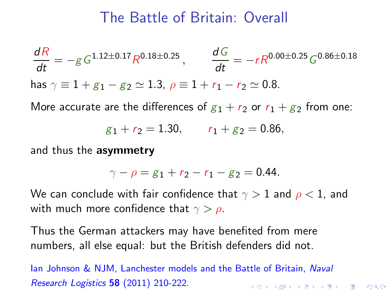## The Battle of Britain: Overall

$$
\frac{dR}{dt} = -g G^{1.12 \pm 0.17} R^{0.18 \pm 0.25}, \qquad \frac{dG}{dt} = -r R^{0.00 \pm 0.25} G^{0.86 \pm 0.18}
$$
  
has  $\gamma \equiv 1 + g_1 - g_2 \simeq 1.3, \ \rho \equiv 1 + r_1 - r_2 \simeq 0.8.$ 

More accurate are the differences of  $g_1 + r_2$  or  $r_1 + g_2$  from one:

$$
g_1 + r_2 = 1.30
$$
,  $r_1 + g_2 = 0.86$ ,

and thus the asymmetry

$$
\gamma - \rho = g_1 + r_2 - r_1 - g_2 = 0.44.
$$

We can conclude with fair confidence that  $\gamma > 1$  and  $\rho < 1$ , and with much more confidence that  $\gamma > \rho$ .

Thus the German attackers may have benefited from mere numbers, all else equal: but the British defenders did not.

lan Johnson & NJM, Lanchester models and the Battle of Britain, Naval Research Logistics 58 (2011) 210-222. **ADD YEARS ARA YOUR**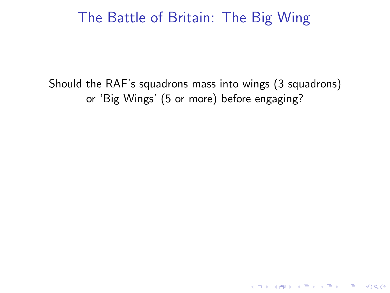Should the RAF's squadrons mass into wings (3 squadrons) or 'Big Wings' (5 or more) before engaging?

K ロ ▶ K @ ▶ K 할 > K 할 > 1 할 > 1 ⊙ Q Q ^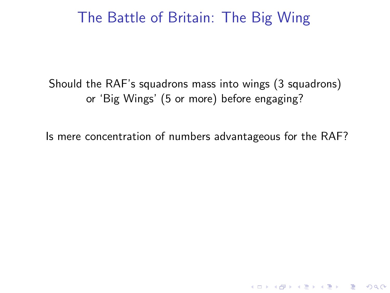Should the RAF's squadrons mass into wings (3 squadrons) or 'Big Wings' (5 or more) before engaging?

Is mere concentration of numbers advantageous for the RAF?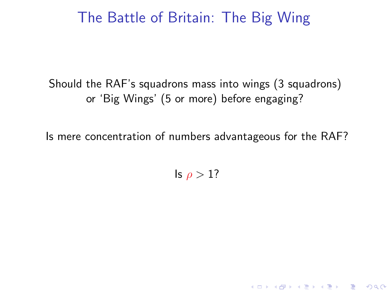Should the RAF's squadrons mass into wings (3 squadrons) or 'Big Wings' (5 or more) before engaging?

Is mere concentration of numbers advantageous for the RAF?

Is  $\rho > 1$ ?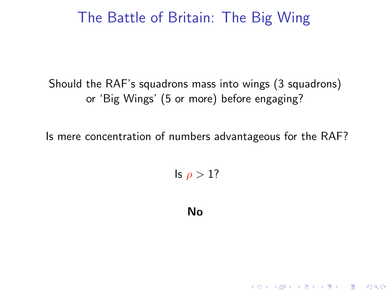Should the RAF's squadrons mass into wings (3 squadrons) or 'Big Wings' (5 or more) before engaging?

Is mere concentration of numbers advantageous for the RAF?

Is  $\rho > 1$ ?

No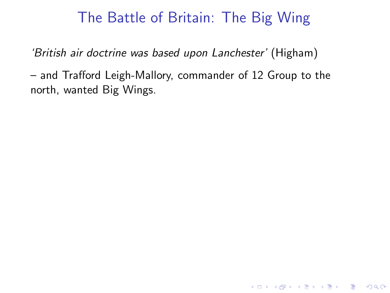'British air doctrine was based upon Lanchester' (Higham)

– and Trafford Leigh-Mallory, commander of 12 Group to the north, wanted Big Wings.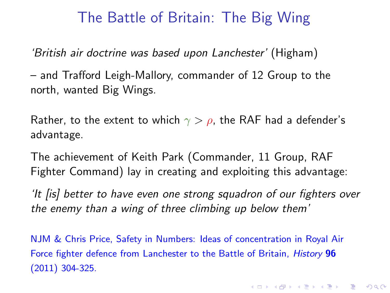'British air doctrine was based upon Lanchester' (Higham)

– and Trafford Leigh-Mallory, commander of 12 Group to the north, wanted Big Wings.

Rather, to the extent to which  $\gamma > \rho$ , the RAF had a defender's advantage.

The achievement of Keith Park (Commander, 11 Group, RAF Fighter Command) lay in creating and exploiting this advantage:

'It [is] better to have even one strong squadron of our fighters over the enemy than a wing of three climbing up below them'

NJM & Chris Price, Safety in Numbers: Ideas of concentration in Royal Air Force fighter defence from Lanchester to the Battle of Britain, History 96 (2011) 304-325.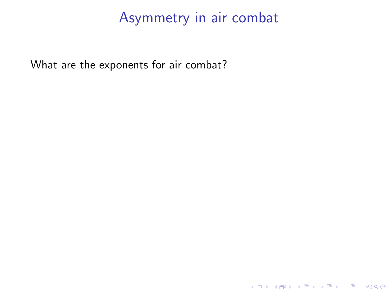K ロ ▶ K @ ▶ K 할 ▶ K 할 ▶ 이 할 → 9 Q Q →

What are the exponents for air combat?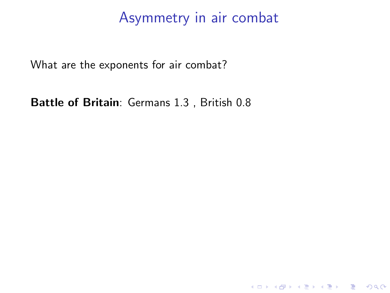K ロ K K (P) K (E) K (E) X (E) X (P) K (P)

What are the exponents for air combat?

Battle of Britain: Germans 1.3 , British 0.8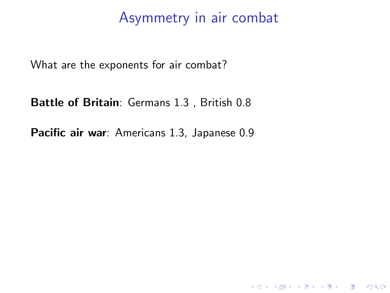KO K K Ø K K I K I I LA K I I K K K K I LA K I I LA

What are the exponents for air combat?

Battle of Britain: Germans 1.3 , British 0.8

Pacific air war: Americans 1.3, Japanese 0.9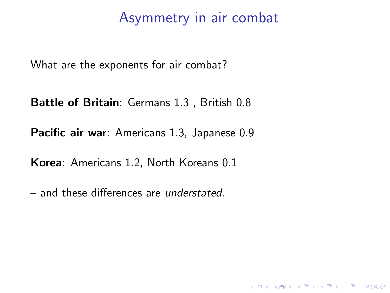K ロ ▶ K @ ▶ K 할 > K 할 > 1 할 > 1 이익어

What are the exponents for air combat?

Battle of Britain: Germans 1.3 , British 0.8

Pacific air war: Americans 1.3, Japanese 0.9

Korea: Americans 1.2, North Koreans 0.1

– and these differences are understated.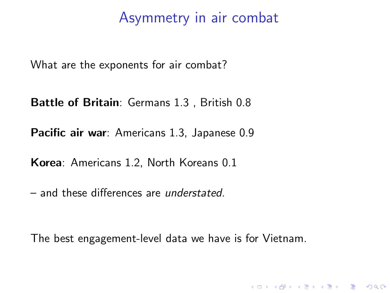What are the exponents for air combat?

Battle of Britain: Germans 1.3 , British 0.8

Pacific air war: Americans 1.3, Japanese 0.9

Korea: Americans 1.2, North Koreans 0.1

– and these differences are understated.

The best engagement-level data we have is for Vietnam.

**KORK EXTERNE PROVIDE**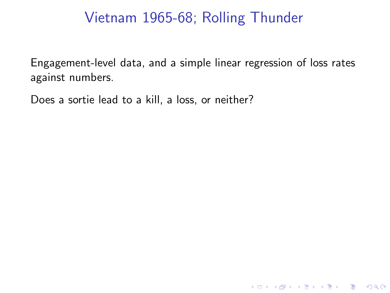## Vietnam 1965-68; Rolling Thunder

Engagement-level data, and a simple linear regression of loss rates against numbers.

**K ロ ▶ K @ ▶ K 콜 K K 콜 K - 콜 - ② Q (N K** 

Does a sortie lead to a kill, a loss, or neither?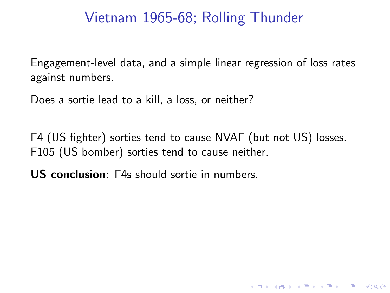## Vietnam 1965-68; Rolling Thunder

Engagement-level data, and a simple linear regression of loss rates against numbers.

Does a sortie lead to a kill, a loss, or neither?

F4 (US fighter) sorties tend to cause NVAF (but not US) losses. F105 (US bomber) sorties tend to cause neither.

K ロ ▶ K @ ▶ K 할 > K 할 > 1 할 > 1 이익어

US conclusion: F4s should sortie in numbers.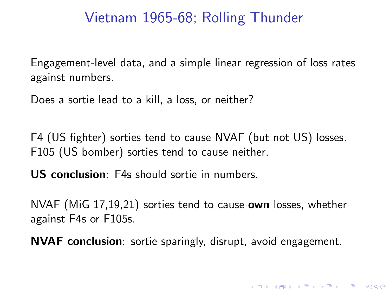## Vietnam 1965-68; Rolling Thunder

Engagement-level data, and a simple linear regression of loss rates against numbers.

Does a sortie lead to a kill, a loss, or neither?

F4 (US fighter) sorties tend to cause NVAF (but not US) losses. F105 (US bomber) sorties tend to cause neither.

US conclusion: F4s should sortie in numbers.

NVAF (MiG 17,19,21) sorties tend to cause **own** losses, whether against F4s or F105s.

NVAF conclusion: sortie sparingly, disrupt, avoid engagement.

**K ロ ▶ K @ ▶ K 할 X K 할 X - 할 X - 9 Q Q ^**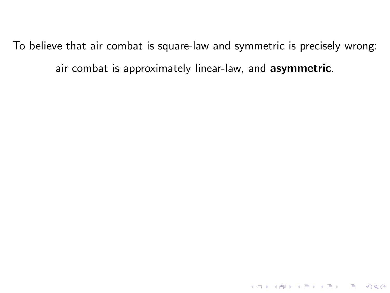To believe that air combat is square-law and symmetric is precisely wrong: air combat is approximately linear-law, and asymmetric.

K ロ ▶ K @ ▶ K 할 ▶ K 할 ▶ 이 할 → 9 Q Q →